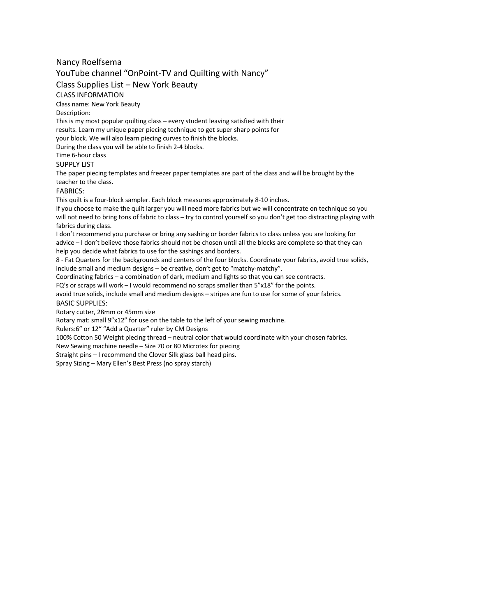## Nancy Roelfsema

# YouTube channel "OnPoint-TV and Quilting with Nancy"

Class Supplies List – New York Beauty

### CLASS INFORMATION

Class name: New York Beauty

#### Description:

This is my most popular quilting class – every student leaving satisfied with their results. Learn my unique paper piecing technique to get super sharp points for your block. We will also learn piecing curves to finish the blocks.

During the class you will be able to finish 2-4 blocks.

## Time 6-hour class

### SUPPLY LIST

The paper piecing templates and freezer paper templates are part of the class and will be brought by the teacher to the class.

## FABRICS:

This quilt is a four-block sampler. Each block measures approximately 8-10 inches.

If you choose to make the quilt larger you will need more fabrics but we will concentrate on technique so you will not need to bring tons of fabric to class – try to control yourself so you don't get too distracting playing with fabrics during class.

I don't recommend you purchase or bring any sashing or border fabrics to class unless you are looking for advice – I don't believe those fabrics should not be chosen until all the blocks are complete so that they can help you decide what fabrics to use for the sashings and borders.

8 - Fat Quarters for the backgrounds and centers of the four blocks. Coordinate your fabrics, avoid true solids, include small and medium designs – be creative, don't get to "matchy-matchy".

Coordinating fabrics – a combination of dark, medium and lights so that you can see contracts.

FQ's or scraps will work – I would recommend no scraps smaller than 5"x18" for the points.

avoid true solids, include small and medium designs – stripes are fun to use for some of your fabrics. BASIC SUPPLIES:

Rotary cutter, 28mm or 45mm size

Rotary mat: small 9"x12" for use on the table to the left of your sewing machine.

Rulers:6" or 12" "Add a Quarter" ruler by CM Designs

100% Cotton 50 Weight piecing thread – neutral color that would coordinate with your chosen fabrics.

New Sewing machine needle – Size 70 or 80 Microtex for piecing

Straight pins – I recommend the Clover Silk glass ball head pins.

Spray Sizing – Mary Ellen's Best Press (no spray starch)